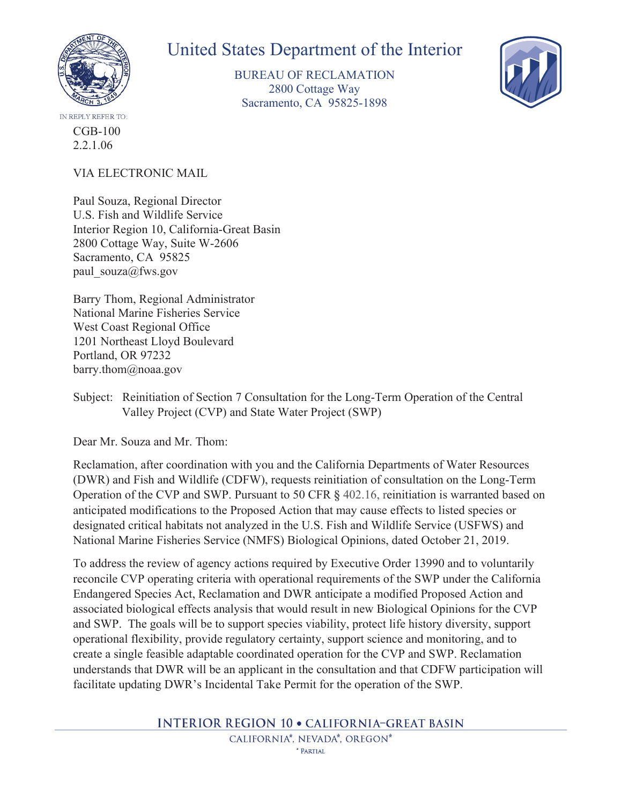

IN REPLY REFER TO: CGB-100 [2.2.1.06](https://2.2.1.06)

## VIA ELECTRONIC MAIL

Paul Souza, Regional Director U.S. Fish and Wildlife Service Interior Region 10, California-Great Basin 2800 Cottage Way, Suite W-2606 Sacramento, CA 95825 [paul\\_souza@fws.gov](mailto:paul_souza@fws.gov)

Barry Thom, Regional Administrator National Marine Fisheries Service West Coast Regional Office 1201 Northeast Lloyd Boulevard Portland, OR 97232 [barry.thom@noaa.gov](mailto:barry.thom@noaa.gov) 

Subject: Reinitiation of Section 7 Consultation for the Long-Term Operation of the Central Valley Project (CVP) and State Water Project (SWP)

Dear Mr. Souza and Mr. Thom:

Reclamation, after coordination with you and the California Departments of Water Resources (DWR) and Fish and Wildlife (CDFW), requests reinitiation of consultation on the Long-Term Operation of the CVP and SWP. Pursuant to 50 CFR **§** 402.16, reinitiation is warranted based on anticipated modifications to the Proposed Action that may cause effects to listed species or designated critical habitats not analyzed in the U.S. Fish and Wildlife Service (USFWS) and National Marine Fisheries Service (NMFS) Biological Opinions, dated October 21, 2019.

To address the review of agency actions required by Executive Order 13990 and to voluntarily reconcile CVP operating criteria with operational requirements of the SWP under the California Endangered Species Act, Reclamation and DWR anticipate a modified Proposed Action and associated biological effects analysis that would result in new Biological Opinions for the CVP and SWP. The goals will be to support species viability, protect life history diversity, support operational flexibility, provide regulatory certainty, support science and monitoring, and to create a single feasible adaptable coordinated operation for the CVP and SWP. Reclamation understands that DWR will be an applicant in the consultation and that CDFW participation will facilitate updating DWR's Incidental Take Permit for the operation of the SWP.

**INTERIOR REGION 10 · CALIFORNIA-GREAT BASIN** 

## United States Department of the Interior

BUREAU OF RECLAMATION 2800 Cottage Way Sacramento, CA 95825-1898